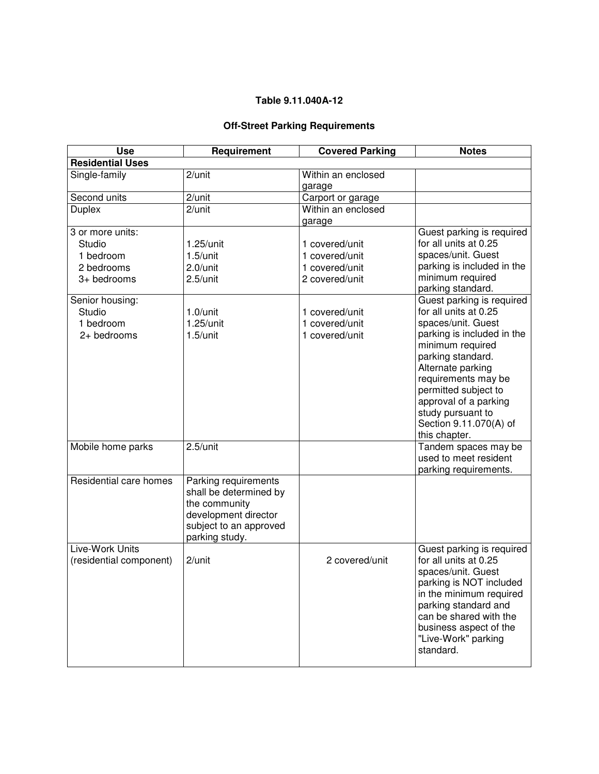## **Table 9.11.040A-12**

## **Off-Street Parking Requirements**

| <b>Use</b>                                                           | Requirement                                                                                                                         | <b>Covered Parking</b>                                               | <b>Notes</b>                                                                                                                                                                                                                                                                                                 |
|----------------------------------------------------------------------|-------------------------------------------------------------------------------------------------------------------------------------|----------------------------------------------------------------------|--------------------------------------------------------------------------------------------------------------------------------------------------------------------------------------------------------------------------------------------------------------------------------------------------------------|
| <b>Residential Uses</b>                                              |                                                                                                                                     |                                                                      |                                                                                                                                                                                                                                                                                                              |
| Single-family                                                        | 2/unit                                                                                                                              | Within an enclosed<br>garage                                         |                                                                                                                                                                                                                                                                                                              |
| Second units                                                         | 2/unit                                                                                                                              | Carport or garage                                                    |                                                                                                                                                                                                                                                                                                              |
| <b>Duplex</b>                                                        | 2/unit                                                                                                                              | Within an enclosed<br>garage                                         |                                                                                                                                                                                                                                                                                                              |
| 3 or more units:<br>Studio<br>1 bedroom<br>2 bedrooms<br>3+ bedrooms | $1.25$ /unit<br>$1.5$ /unit<br>$2.0$ /unit<br>2.5/unit                                                                              | 1 covered/unit<br>1 covered/unit<br>1 covered/unit<br>2 covered/unit | Guest parking is required<br>for all units at 0.25<br>spaces/unit. Guest<br>parking is included in the<br>minimum required<br>parking standard.                                                                                                                                                              |
| Senior housing:<br>Studio<br>1 bedroom<br>2+ bedrooms                | $1.0$ /unit<br>$1.25$ /unit<br>$1.5$ /unit                                                                                          | 1 covered/unit<br>1 covered/unit<br>1 covered/unit                   | Guest parking is required<br>for all units at 0.25<br>spaces/unit. Guest<br>parking is included in the<br>minimum required<br>parking standard.<br>Alternate parking<br>requirements may be<br>permitted subject to<br>approval of a parking<br>study pursuant to<br>Section 9.11.070(A) of<br>this chapter. |
| Mobile home parks                                                    | 2.5/unit                                                                                                                            |                                                                      | Tandem spaces may be<br>used to meet resident<br>parking requirements.                                                                                                                                                                                                                                       |
| Residential care homes                                               | Parking requirements<br>shall be determined by<br>the community<br>development director<br>subject to an approved<br>parking study. |                                                                      |                                                                                                                                                                                                                                                                                                              |
| Live-Work Units<br>(residential component)                           | 2/unit                                                                                                                              | 2 covered/unit                                                       | Guest parking is required<br>for all units at 0.25<br>spaces/unit. Guest<br>parking is NOT included<br>in the minimum required<br>parking standard and<br>can be shared with the<br>business aspect of the<br>"Live-Work" parking<br>standard.                                                               |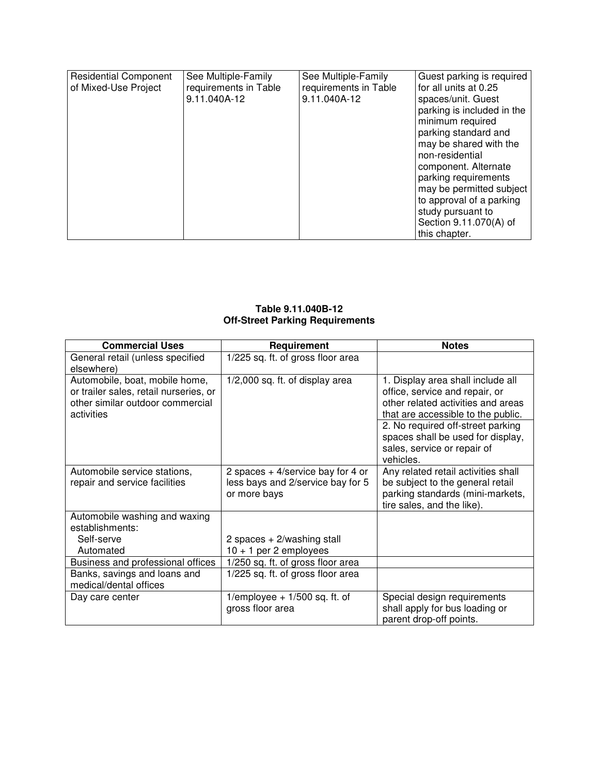| <b>Residential Component</b><br>of Mixed-Use Project | See Multiple-Family<br>requirements in Table<br>9.11.040A-12 | See Multiple-Family<br>requirements in Table<br>9.11.040A-12 | Guest parking is required<br>for all units at 0.25<br>spaces/unit. Guest<br>parking is included in the<br>minimum required<br>parking standard and<br>may be shared with the<br>non-residential |
|------------------------------------------------------|--------------------------------------------------------------|--------------------------------------------------------------|-------------------------------------------------------------------------------------------------------------------------------------------------------------------------------------------------|
|                                                      |                                                              |                                                              | component. Alternate<br>parking requirements<br>may be permitted subject                                                                                                                        |
|                                                      |                                                              |                                                              | to approval of a parking<br>study pursuant to<br>Section 9.11.070(A) of<br>this chapter.                                                                                                        |

## **Table 9.11.040B-12 Off-Street Parking Requirements**

| <b>Commercial Uses</b>                                                                                                     | Requirement                                                                              | <b>Notes</b>                                                                                                                                    |
|----------------------------------------------------------------------------------------------------------------------------|------------------------------------------------------------------------------------------|-------------------------------------------------------------------------------------------------------------------------------------------------|
| General retail (unless specified<br>elsewhere)                                                                             | 1/225 sq. ft. of gross floor area                                                        |                                                                                                                                                 |
| Automobile, boat, mobile home,<br>or trailer sales, retail nurseries, or<br>other similar outdoor commercial<br>activities | 1/2,000 sq. ft. of display area                                                          | 1. Display area shall include all<br>office, service and repair, or<br>other related activities and areas<br>that are accessible to the public. |
|                                                                                                                            |                                                                                          | 2. No required off-street parking<br>spaces shall be used for display,<br>sales, service or repair of<br>vehicles.                              |
| Automobile service stations,<br>repair and service facilities                                                              | 2 spaces $+$ 4/service bay for 4 or<br>less bays and 2/service bay for 5<br>or more bays | Any related retail activities shall<br>be subject to the general retail<br>parking standards (mini-markets,<br>tire sales, and the like).       |
| Automobile washing and waxing<br>establishments:<br>Self-serve<br>Automated                                                | 2 spaces $+2$ /washing stall<br>$10 + 1$ per 2 employees                                 |                                                                                                                                                 |
| Business and professional offices                                                                                          | 1/250 sq. ft. of gross floor area                                                        |                                                                                                                                                 |
| Banks, savings and loans and<br>medical/dental offices                                                                     | 1/225 sq. ft. of gross floor area                                                        |                                                                                                                                                 |
| Day care center                                                                                                            | 1/employee $+1/500$ sq. ft. of<br>gross floor area                                       | Special design requirements<br>shall apply for bus loading or<br>parent drop-off points.                                                        |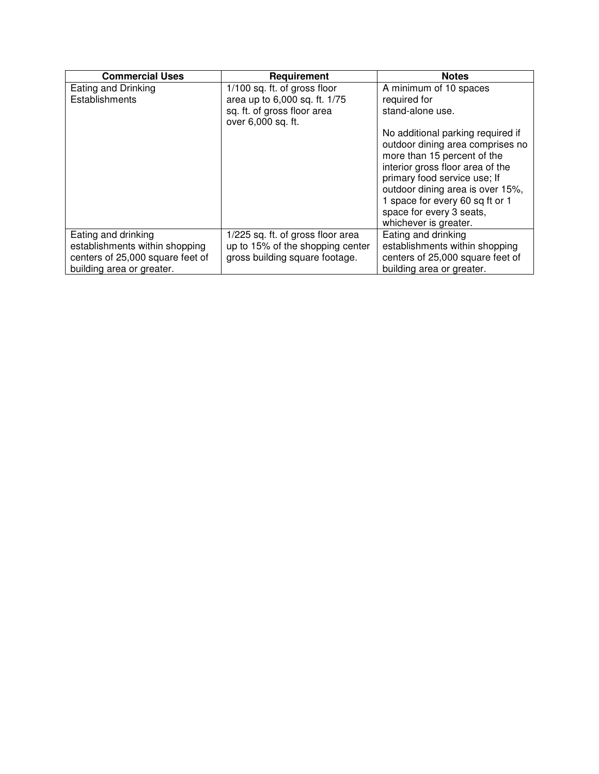| <b>Commercial Uses</b>           | Requirement                       | <b>Notes</b>                      |
|----------------------------------|-----------------------------------|-----------------------------------|
| Eating and Drinking              | 1/100 sq. ft. of gross floor      | A minimum of 10 spaces            |
| Establishments                   | area up to 6,000 sq. ft. 1/75     | required for                      |
|                                  | sq. ft. of gross floor area       | stand-alone use.                  |
|                                  | over 6,000 sq. ft.                |                                   |
|                                  |                                   | No additional parking required if |
|                                  |                                   | outdoor dining area comprises no  |
|                                  |                                   | more than 15 percent of the       |
|                                  |                                   | interior gross floor area of the  |
|                                  |                                   | primary food service use; If      |
|                                  |                                   | outdoor dining area is over 15%,  |
|                                  |                                   | 1 space for every 60 sq ft or 1   |
|                                  |                                   | space for every 3 seats,          |
|                                  |                                   | whichever is greater.             |
| Eating and drinking              | 1/225 sq. ft. of gross floor area | Eating and drinking               |
| establishments within shopping   | up to 15% of the shopping center  | establishments within shopping    |
| centers of 25,000 square feet of | gross building square footage.    | centers of 25,000 square feet of  |
| building area or greater.        |                                   | building area or greater.         |